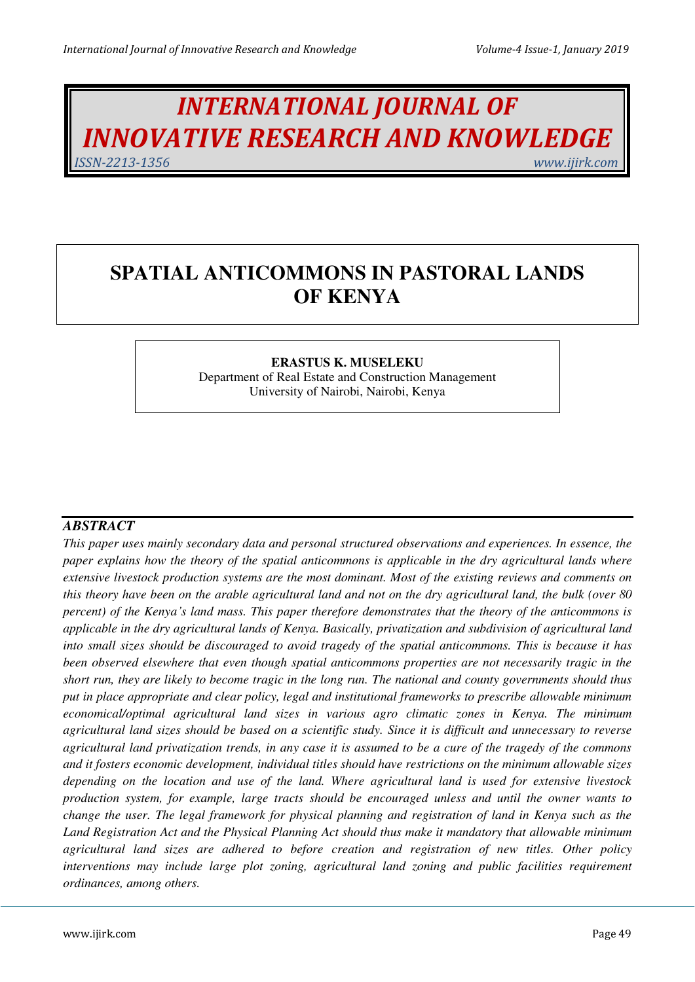# *INTERNATIONAL JOURNAL OF INNOVATIVE RESEARCH AND KNOWLEDGE ISSN-2213-1356 www.ijirk.com*

## **SPATIAL ANTICOMMONS IN PASTORAL LANDS OF KENYA**

## **ERASTUS K. MUSELEKU**

Department of Real Estate and Construction Management University of Nairobi, Nairobi, Kenya

## *ABSTRACT*

*This paper uses mainly secondary data and personal structured observations and experiences. In essence, the paper explains how the theory of the spatial anticommons is applicable in the dry agricultural lands where extensive livestock production systems are the most dominant. Most of the existing reviews and comments on this theory have been on the arable agricultural land and not on the dry agricultural land, the bulk (over 80 percent) of the Kenya's land mass. This paper therefore demonstrates that the theory of the anticommons is applicable in the dry agricultural lands of Kenya. Basically, privatization and subdivision of agricultural land into small sizes should be discouraged to avoid tragedy of the spatial anticommons. This is because it has been observed elsewhere that even though spatial anticommons properties are not necessarily tragic in the short run, they are likely to become tragic in the long run. The national and county governments should thus put in place appropriate and clear policy, legal and institutional frameworks to prescribe allowable minimum economical/optimal agricultural land sizes in various agro climatic zones in Kenya. The minimum agricultural land sizes should be based on a scientific study. Since it is difficult and unnecessary to reverse agricultural land privatization trends, in any case it is assumed to be a cure of the tragedy of the commons and it fosters economic development, individual titles should have restrictions on the minimum allowable sizes depending on the location and use of the land. Where agricultural land is used for extensive livestock production system, for example, large tracts should be encouraged unless and until the owner wants to change the user. The legal framework for physical planning and registration of land in Kenya such as the Land Registration Act and the Physical Planning Act should thus make it mandatory that allowable minimum agricultural land sizes are adhered to before creation and registration of new titles. Other policy interventions may include large plot zoning, agricultural land zoning and public facilities requirement ordinances, among others.*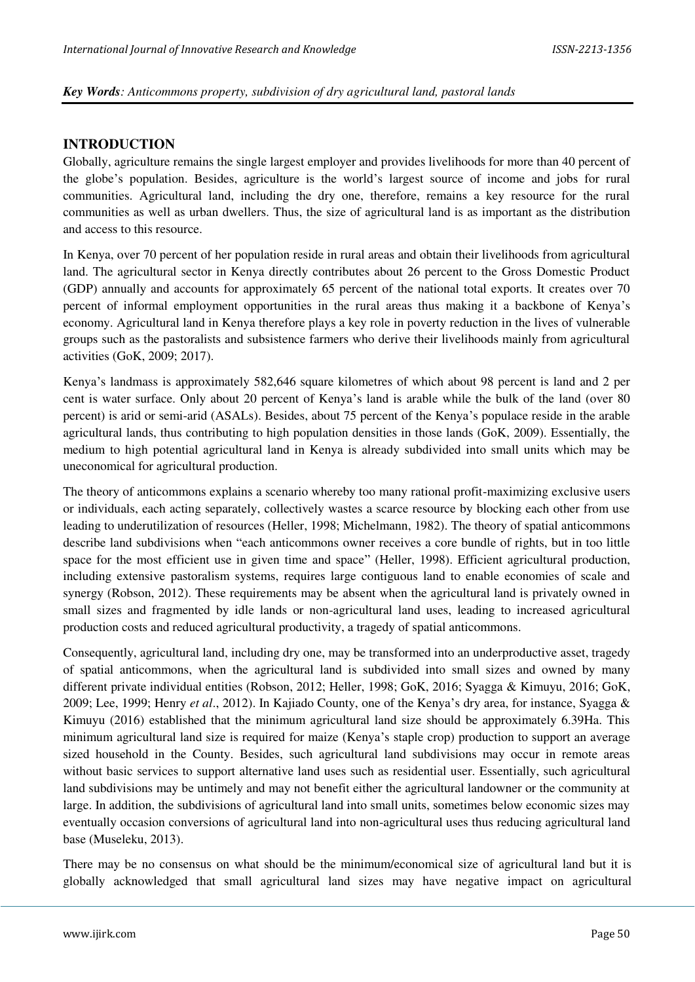#### *Key Words: Anticommons property, subdivision of dry agricultural land, pastoral lands*

#### **INTRODUCTION**

Globally, agriculture remains the single largest employer and provides livelihoods for more than 40 percent of the globe's population. Besides, agriculture is the world's largest source of income and jobs for rural communities. Agricultural land, including the dry one, therefore, remains a key resource for the rural communities as well as urban dwellers. Thus, the size of agricultural land is as important as the distribution and access to this resource.

In Kenya, over 70 percent of her population reside in rural areas and obtain their livelihoods from agricultural land. The agricultural sector in Kenya directly contributes about 26 percent to the Gross Domestic Product (GDP) annually and accounts for approximately 65 percent of the national total exports. It creates over 70 percent of informal employment opportunities in the rural areas thus making it a backbone of Kenya's economy. Agricultural land in Kenya therefore plays a key role in poverty reduction in the lives of vulnerable groups such as the pastoralists and subsistence farmers who derive their livelihoods mainly from agricultural activities (GoK, 2009; 2017).

Kenya's landmass is approximately 582,646 square kilometres of which about 98 percent is land and 2 per cent is water surface. Only about 20 percent of Kenya's land is arable while the bulk of the land (over 80 percent) is arid or semi-arid (ASALs). Besides, about 75 percent of the Kenya's populace reside in the arable agricultural lands, thus contributing to high population densities in those lands (GoK, 2009). Essentially, the medium to high potential agricultural land in Kenya is already subdivided into small units which may be uneconomical for agricultural production.

The theory of anticommons explains a scenario whereby too many rational profit-maximizing exclusive users or individuals, each acting separately, collectively wastes a scarce resource by blocking each other from use leading to underutilization of resources (Heller, 1998; Michelmann, 1982). The theory of spatial anticommons describe land subdivisions when "each anticommons owner receives a core bundle of rights, but in too little space for the most efficient use in given time and space" (Heller, 1998). Efficient agricultural production, including extensive pastoralism systems, requires large contiguous land to enable economies of scale and synergy (Robson, 2012). These requirements may be absent when the agricultural land is privately owned in small sizes and fragmented by idle lands or non-agricultural land uses, leading to increased agricultural production costs and reduced agricultural productivity, a tragedy of spatial anticommons.

Consequently, agricultural land, including dry one, may be transformed into an underproductive asset, tragedy of spatial anticommons, when the agricultural land is subdivided into small sizes and owned by many different private individual entities (Robson, 2012; Heller, 1998; GoK, 2016; Syagga & Kimuyu, 2016; GoK, 2009; Lee, 1999; Henry *et al*., 2012). In Kajiado County, one of the Kenya's dry area, for instance, Syagga & Kimuyu (2016) established that the minimum agricultural land size should be approximately 6.39Ha. This minimum agricultural land size is required for maize (Kenya's staple crop) production to support an average sized household in the County. Besides, such agricultural land subdivisions may occur in remote areas without basic services to support alternative land uses such as residential user. Essentially, such agricultural land subdivisions may be untimely and may not benefit either the agricultural landowner or the community at large. In addition, the subdivisions of agricultural land into small units, sometimes below economic sizes may eventually occasion conversions of agricultural land into non-agricultural uses thus reducing agricultural land base (Museleku, 2013).

There may be no consensus on what should be the minimum/economical size of agricultural land but it is globally acknowledged that small agricultural land sizes may have negative impact on agricultural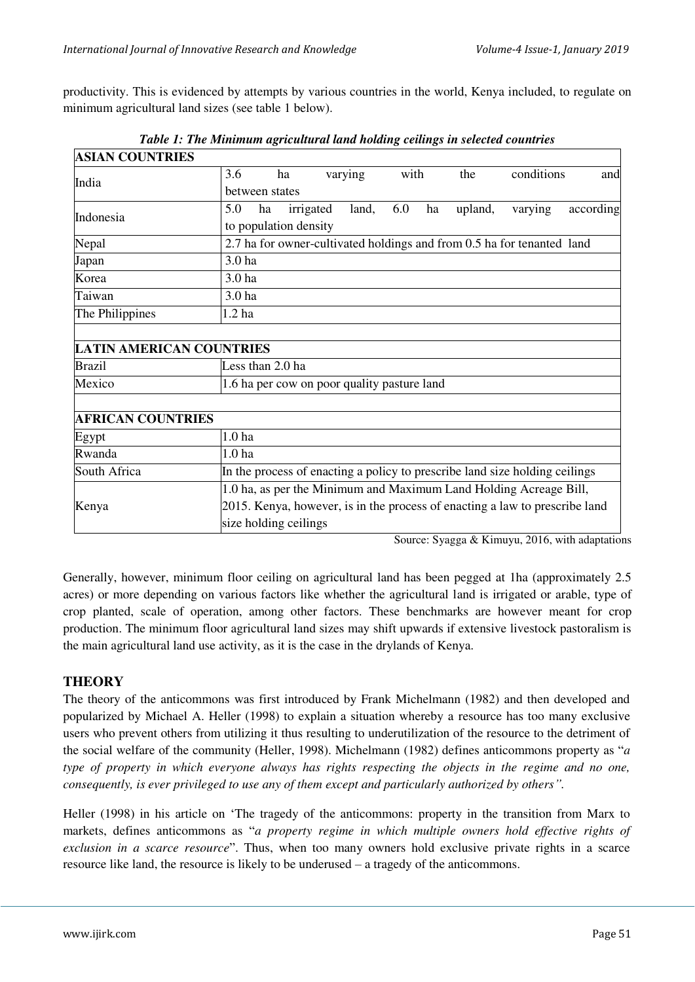productivity. This is evidenced by attempts by various countries in the world, Kenya included, to regulate on minimum agricultural land sizes (see table 1 below).

| <b>ASIAN COUNTRIES</b>          |                                                                             |                       |       |     |            |         |         |           |
|---------------------------------|-----------------------------------------------------------------------------|-----------------------|-------|-----|------------|---------|---------|-----------|
| India                           | 3.6                                                                         | varying<br>with<br>ha |       | the | conditions | and     |         |           |
|                                 | between states                                                              |                       |       |     |            |         |         |           |
| Indonesia                       | 5.0<br>ha                                                                   | irrigated             | land, | 6.0 | ha         | upland, | varying | according |
|                                 | to population density                                                       |                       |       |     |            |         |         |           |
| Nepal                           | 2.7 ha for owner-cultivated holdings and from 0.5 ha for tenanted land      |                       |       |     |            |         |         |           |
| Japan                           | 3.0 ha                                                                      |                       |       |     |            |         |         |           |
| Korea                           | 3.0 ha                                                                      |                       |       |     |            |         |         |           |
| Taiwan                          | 3.0 ha                                                                      |                       |       |     |            |         |         |           |
| The Philippines                 | 1.2 <sub>ha</sub>                                                           |                       |       |     |            |         |         |           |
|                                 |                                                                             |                       |       |     |            |         |         |           |
| <b>LATIN AMERICAN COUNTRIES</b> |                                                                             |                       |       |     |            |         |         |           |
| Brazil                          | Less than 2.0 ha                                                            |                       |       |     |            |         |         |           |
| Mexico                          | 1.6 ha per cow on poor quality pasture land                                 |                       |       |     |            |         |         |           |
|                                 |                                                                             |                       |       |     |            |         |         |           |
| <b>AFRICAN COUNTRIES</b>        |                                                                             |                       |       |     |            |         |         |           |
| Egypt                           | 1.0 <sub>ha</sub>                                                           |                       |       |     |            |         |         |           |
| Rwanda                          | 1.0 <sub>ha</sub>                                                           |                       |       |     |            |         |         |           |
| South Africa                    | In the process of enacting a policy to prescribe land size holding ceilings |                       |       |     |            |         |         |           |
| Kenya                           | 1.0 ha, as per the Minimum and Maximum Land Holding Acreage Bill,           |                       |       |     |            |         |         |           |
|                                 | 2015. Kenya, however, is in the process of enacting a law to prescribe land |                       |       |     |            |         |         |           |
|                                 | size holding ceilings                                                       |                       |       |     |            |         |         |           |

*Table 1: The Minimum agricultural land holding ceilings in selected countries* 

Source: Syagga & Kimuyu, 2016, with adaptations

Generally, however, minimum floor ceiling on agricultural land has been pegged at 1ha (approximately 2.5 acres) or more depending on various factors like whether the agricultural land is irrigated or arable, type of crop planted, scale of operation, among other factors. These benchmarks are however meant for crop production. The minimum floor agricultural land sizes may shift upwards if extensive livestock pastoralism is the main agricultural land use activity, as it is the case in the drylands of Kenya.

## **THEORY**

The theory of the anticommons was first introduced by Frank Michelmann (1982) and then developed and popularized by Michael A. Heller (1998) to explain a situation whereby a resource has too many exclusive users who prevent others from utilizing it thus resulting to underutilization of the resource to the detriment of the social welfare of the community (Heller, 1998). Michelmann (1982) defines anticommons property as "*a type of property in which everyone always has rights respecting the objects in the regime and no one, consequently, is ever privileged to use any of them except and particularly authorized by others".*

Heller (1998) in his article on 'The tragedy of the anticommons: property in the transition from Marx to markets, defines anticommons as "*a property regime in which multiple owners hold effective rights of exclusion in a scarce resource*". Thus, when too many owners hold exclusive private rights in a scarce resource like land, the resource is likely to be underused – a tragedy of the anticommons.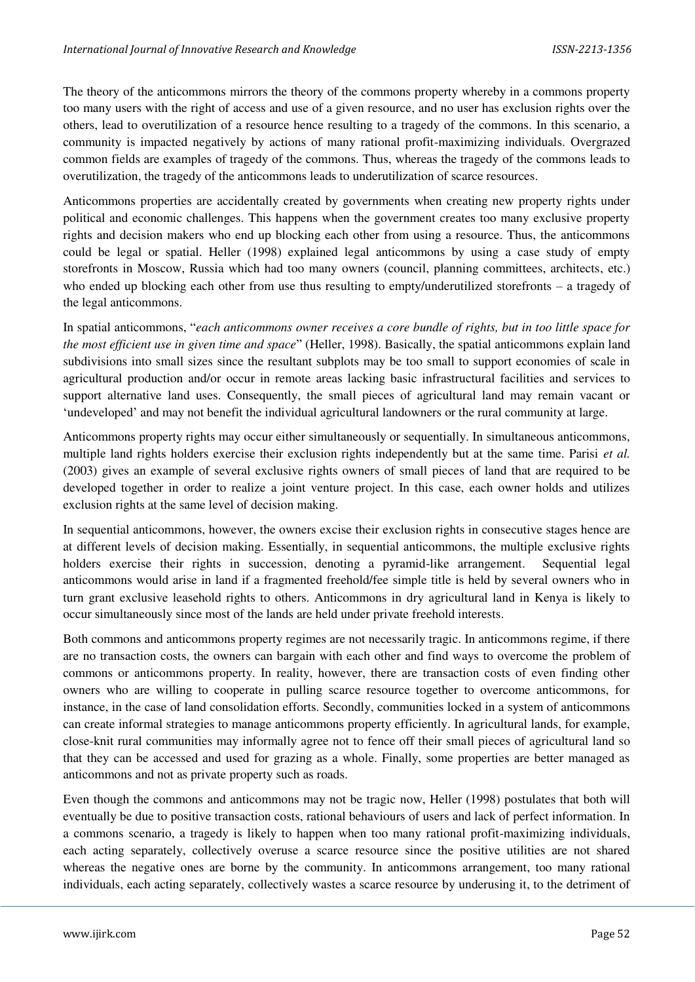The theory of the anticommons mirrors the theory of the commons property whereby in a commons property too many users with the right of access and use of a given resource, and no user has exclusion rights over the others, lead to overutilization of a resource hence resulting to a tragedy of the commons. In this scenario, a community is impacted negatively by actions of many rational profit-maximizing individuals. Overgrazed common fields are examples of tragedy of the commons. Thus, whereas the tragedy of the commons leads to overutilization, the tragedy of the anticommons leads to underutilization of scarce resources.

Anticommons properties are accidentally created by governments when creating new property rights under political and economic challenges. This happens when the government creates too many exclusive property rights and decision makers who end up blocking each other from using a resource. Thus, the anticommons could be legal or spatial. Heller (1998) explained legal anticommons by using a case study of empty storefronts in Moscow, Russia which had too many owners (council, planning committees, architects, etc.) who ended up blocking each other from use thus resulting to empty/underutilized storefronts – a tragedy of the legal anticommons.

In spatial anticommons, "*each anticommons owner receives a core bundle of rights, but in too little space for the most efficient use in given time and space*" (Heller, 1998). Basically, the spatial anticommons explain land subdivisions into small sizes since the resultant subplots may be too small to support economies of scale in agricultural production and/or occur in remote areas lacking basic infrastructural facilities and services to support alternative land uses. Consequently, the small pieces of agricultural land may remain vacant or 'undeveloped' and may not benefit the individual agricultural landowners or the rural community at large.

Anticommons property rights may occur either simultaneously or sequentially. In simultaneous anticommons, multiple land rights holders exercise their exclusion rights independently but at the same time. Parisi *et al.* (2003) gives an example of several exclusive rights owners of small pieces of land that are required to be developed together in order to realize a joint venture project. In this case, each owner holds and utilizes exclusion rights at the same level of decision making.

In sequential anticommons, however, the owners excise their exclusion rights in consecutive stages hence are at different levels of decision making. Essentially, in sequential anticommons, the multiple exclusive rights holders exercise their rights in succession, denoting a pyramid-like arrangement. Sequential legal anticommons would arise in land if a fragmented freehold/fee simple title is held by several owners who in turn grant exclusive leasehold rights to others. Anticommons in dry agricultural land in Kenya is likely to occur simultaneously since most of the lands are held under private freehold interests.

Both commons and anticommons property regimes are not necessarily tragic. In anticommons regime, if there are no transaction costs, the owners can bargain with each other and find ways to overcome the problem of commons or anticommons property. In reality, however, there are transaction costs of even finding other owners who are willing to cooperate in pulling scarce resource together to overcome anticommons, for instance, in the case of land consolidation efforts. Secondly, communities locked in a system of anticommons can create informal strategies to manage anticommons property efficiently. In agricultural lands, for example, close-knit rural communities may informally agree not to fence off their small pieces of agricultural land so that they can be accessed and used for grazing as a whole. Finally, some properties are better managed as anticommons and not as private property such as roads.

Even though the commons and anticommons may not be tragic now, Heller (1998) postulates that both will eventually be due to positive transaction costs, rational behaviours of users and lack of perfect information. In a commons scenario, a tragedy is likely to happen when too many rational profit-maximizing individuals, each acting separately, collectively overuse a scarce resource since the positive utilities are not shared whereas the negative ones are borne by the community. In anticommons arrangement, too many rational individuals, each acting separately, collectively wastes a scarce resource by underusing it, to the detriment of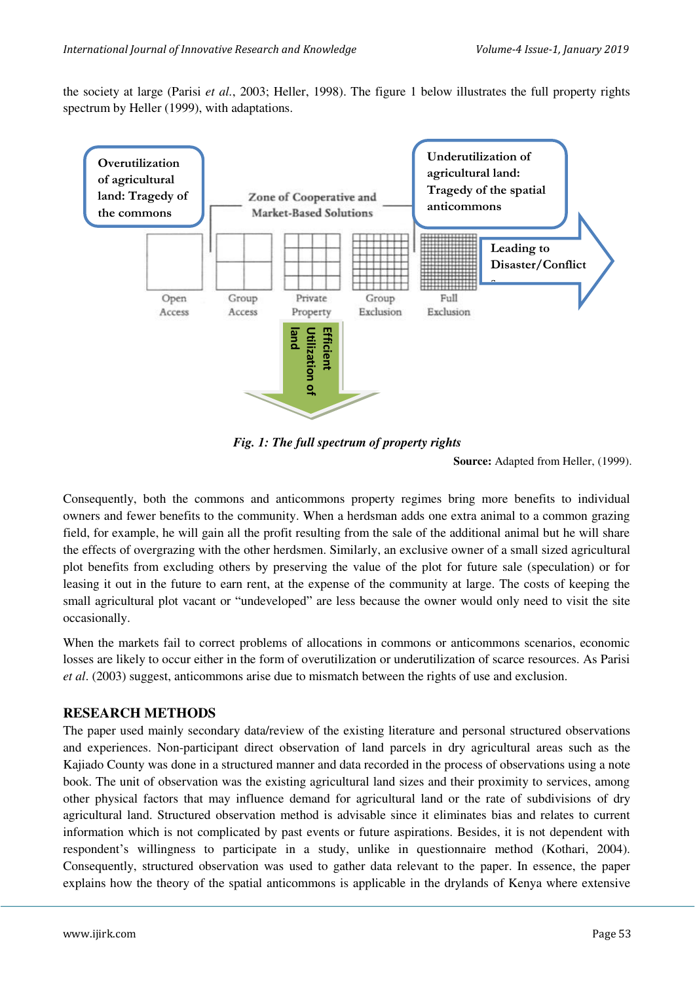the society at large (Parisi *et al.*, 2003; Heller, 1998). The figure 1 below illustrates the full property rights spectrum by Heller (1999), with adaptations.



*Fig. 1: The full spectrum of property rights* 

**Source:** Adapted from Heller, (1999).

Consequently, both the commons and anticommons property regimes bring more benefits to individual owners and fewer benefits to the community. When a herdsman adds one extra animal to a common grazing field, for example, he will gain all the profit resulting from the sale of the additional animal but he will share the effects of overgrazing with the other herdsmen. Similarly, an exclusive owner of a small sized agricultural plot benefits from excluding others by preserving the value of the plot for future sale (speculation) or for leasing it out in the future to earn rent, at the expense of the community at large. The costs of keeping the small agricultural plot vacant or "undeveloped" are less because the owner would only need to visit the site occasionally.

When the markets fail to correct problems of allocations in commons or anticommons scenarios, economic losses are likely to occur either in the form of overutilization or underutilization of scarce resources. As Parisi *et al*. (2003) suggest, anticommons arise due to mismatch between the rights of use and exclusion.

## **RESEARCH METHODS**

The paper used mainly secondary data/review of the existing literature and personal structured observations and experiences. Non-participant direct observation of land parcels in dry agricultural areas such as the Kajiado County was done in a structured manner and data recorded in the process of observations using a note book. The unit of observation was the existing agricultural land sizes and their proximity to services, among other physical factors that may influence demand for agricultural land or the rate of subdivisions of dry agricultural land. Structured observation method is advisable since it eliminates bias and relates to current information which is not complicated by past events or future aspirations. Besides, it is not dependent with respondent's willingness to participate in a study, unlike in questionnaire method (Kothari, 2004). Consequently, structured observation was used to gather data relevant to the paper. In essence, the paper explains how the theory of the spatial anticommons is applicable in the drylands of Kenya where extensive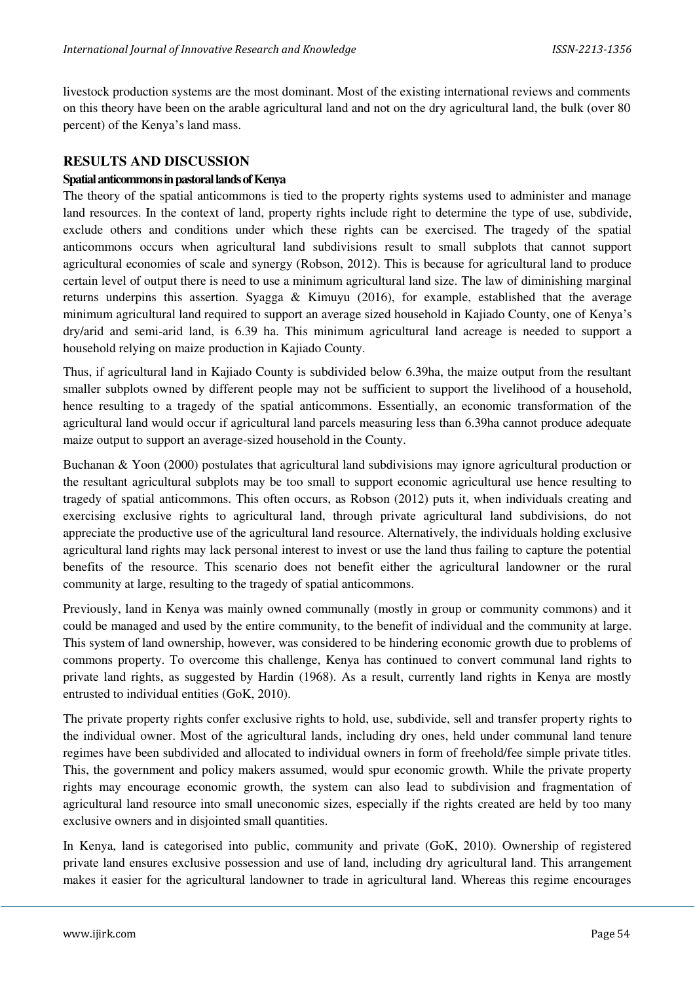livestock production systems are the most dominant. Most of the existing international reviews and comments on this theory have been on the arable agricultural land and not on the dry agricultural land, the bulk (over 80 percent) of the Kenya's land mass.

#### **RESULTS AND DISCUSSION**

#### **Spatial anticommons in pastoral lands of Kenya**

The theory of the spatial anticommons is tied to the property rights systems used to administer and manage land resources. In the context of land, property rights include right to determine the type of use, subdivide, exclude others and conditions under which these rights can be exercised. The tragedy of the spatial anticommons occurs when agricultural land subdivisions result to small subplots that cannot support agricultural economies of scale and synergy (Robson, 2012). This is because for agricultural land to produce certain level of output there is need to use a minimum agricultural land size. The law of diminishing marginal returns underpins this assertion. Syagga & Kimuyu (2016), for example, established that the average minimum agricultural land required to support an average sized household in Kajiado County, one of Kenya's dry/arid and semi-arid land, is 6.39 ha. This minimum agricultural land acreage is needed to support a household relying on maize production in Kajiado County.

Thus, if agricultural land in Kajiado County is subdivided below 6.39ha, the maize output from the resultant smaller subplots owned by different people may not be sufficient to support the livelihood of a household, hence resulting to a tragedy of the spatial anticommons. Essentially, an economic transformation of the agricultural land would occur if agricultural land parcels measuring less than 6.39ha cannot produce adequate maize output to support an average-sized household in the County.

Buchanan & Yoon (2000) postulates that agricultural land subdivisions may ignore agricultural production or the resultant agricultural subplots may be too small to support economic agricultural use hence resulting to tragedy of spatial anticommons. This often occurs, as Robson (2012) puts it, when individuals creating and exercising exclusive rights to agricultural land, through private agricultural land subdivisions, do not appreciate the productive use of the agricultural land resource. Alternatively, the individuals holding exclusive agricultural land rights may lack personal interest to invest or use the land thus failing to capture the potential benefits of the resource. This scenario does not benefit either the agricultural landowner or the rural community at large, resulting to the tragedy of spatial anticommons.

Previously, land in Kenya was mainly owned communally (mostly in group or community commons) and it could be managed and used by the entire community, to the benefit of individual and the community at large. This system of land ownership, however, was considered to be hindering economic growth due to problems of commons property. To overcome this challenge, Kenya has continued to convert communal land rights to private land rights, as suggested by Hardin (1968). As a result, currently land rights in Kenya are mostly entrusted to individual entities (GoK, 2010).

The private property rights confer exclusive rights to hold, use, subdivide, sell and transfer property rights to the individual owner. Most of the agricultural lands, including dry ones, held under communal land tenure regimes have been subdivided and allocated to individual owners in form of freehold/fee simple private titles. This, the government and policy makers assumed, would spur economic growth. While the private property rights may encourage economic growth, the system can also lead to subdivision and fragmentation of agricultural land resource into small uneconomic sizes, especially if the rights created are held by too many exclusive owners and in disjointed small quantities.

In Kenya, land is categorised into public, community and private (GoK, 2010). Ownership of registered private land ensures exclusive possession and use of land, including dry agricultural land. This arrangement makes it easier for the agricultural landowner to trade in agricultural land. Whereas this regime encourages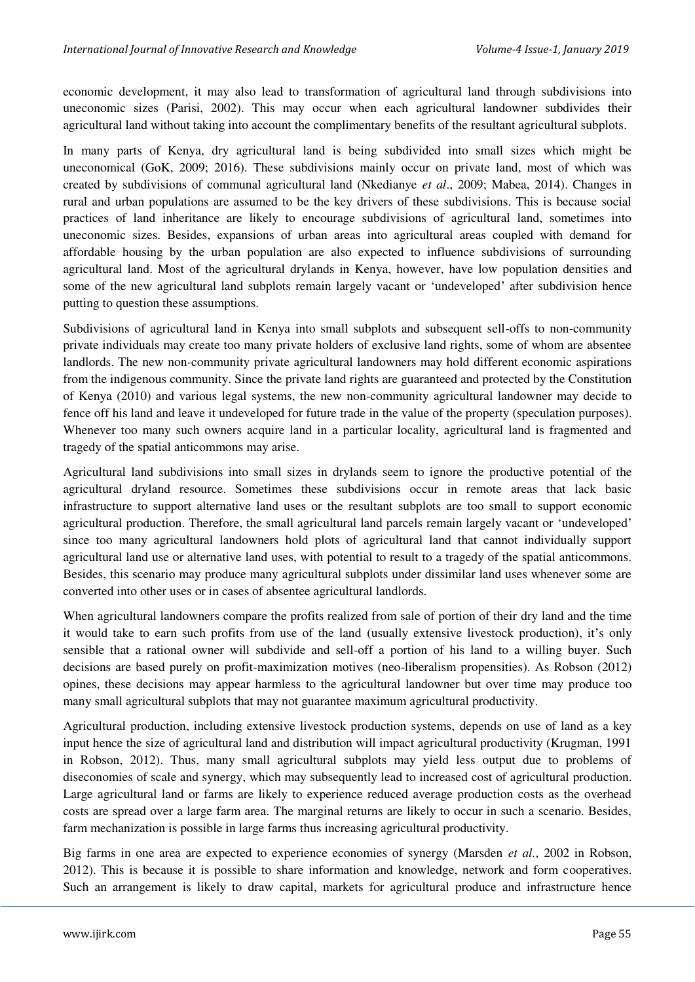economic development, it may also lead to transformation of agricultural land through subdivisions into uneconomic sizes (Parisi, 2002). This may occur when each agricultural landowner subdivides their agricultural land without taking into account the complimentary benefits of the resultant agricultural subplots.

In many parts of Kenya, dry agricultural land is being subdivided into small sizes which might be uneconomical (GoK, 2009; 2016). These subdivisions mainly occur on private land, most of which was created by subdivisions of communal agricultural land (Nkedianye *et al*., 2009; Mabea, 2014). Changes in rural and urban populations are assumed to be the key drivers of these subdivisions. This is because social practices of land inheritance are likely to encourage subdivisions of agricultural land, sometimes into uneconomic sizes. Besides, expansions of urban areas into agricultural areas coupled with demand for affordable housing by the urban population are also expected to influence subdivisions of surrounding agricultural land. Most of the agricultural drylands in Kenya, however, have low population densities and some of the new agricultural land subplots remain largely vacant or 'undeveloped' after subdivision hence putting to question these assumptions.

Subdivisions of agricultural land in Kenya into small subplots and subsequent sell-offs to non-community private individuals may create too many private holders of exclusive land rights, some of whom are absentee landlords. The new non-community private agricultural landowners may hold different economic aspirations from the indigenous community. Since the private land rights are guaranteed and protected by the Constitution of Kenya (2010) and various legal systems, the new non-community agricultural landowner may decide to fence off his land and leave it undeveloped for future trade in the value of the property (speculation purposes). Whenever too many such owners acquire land in a particular locality, agricultural land is fragmented and tragedy of the spatial anticommons may arise.

Agricultural land subdivisions into small sizes in drylands seem to ignore the productive potential of the agricultural dryland resource. Sometimes these subdivisions occur in remote areas that lack basic infrastructure to support alternative land uses or the resultant subplots are too small to support economic agricultural production. Therefore, the small agricultural land parcels remain largely vacant or 'undeveloped' since too many agricultural landowners hold plots of agricultural land that cannot individually support agricultural land use or alternative land uses, with potential to result to a tragedy of the spatial anticommons. Besides, this scenario may produce many agricultural subplots under dissimilar land uses whenever some are converted into other uses or in cases of absentee agricultural landlords.

When agricultural landowners compare the profits realized from sale of portion of their dry land and the time it would take to earn such profits from use of the land (usually extensive livestock production), it's only sensible that a rational owner will subdivide and sell-off a portion of his land to a willing buyer. Such decisions are based purely on profit-maximization motives (neo-liberalism propensities). As Robson (2012) opines, these decisions may appear harmless to the agricultural landowner but over time may produce too many small agricultural subplots that may not guarantee maximum agricultural productivity.

Agricultural production, including extensive livestock production systems, depends on use of land as a key input hence the size of agricultural land and distribution will impact agricultural productivity (Krugman, 1991 in Robson, 2012). Thus, many small agricultural subplots may yield less output due to problems of diseconomies of scale and synergy, which may subsequently lead to increased cost of agricultural production. Large agricultural land or farms are likely to experience reduced average production costs as the overhead costs are spread over a large farm area. The marginal returns are likely to occur in such a scenario. Besides, farm mechanization is possible in large farms thus increasing agricultural productivity.

Big farms in one area are expected to experience economies of synergy (Marsden *et al.*, 2002 in Robson, 2012). This is because it is possible to share information and knowledge, network and form cooperatives. Such an arrangement is likely to draw capital, markets for agricultural produce and infrastructure hence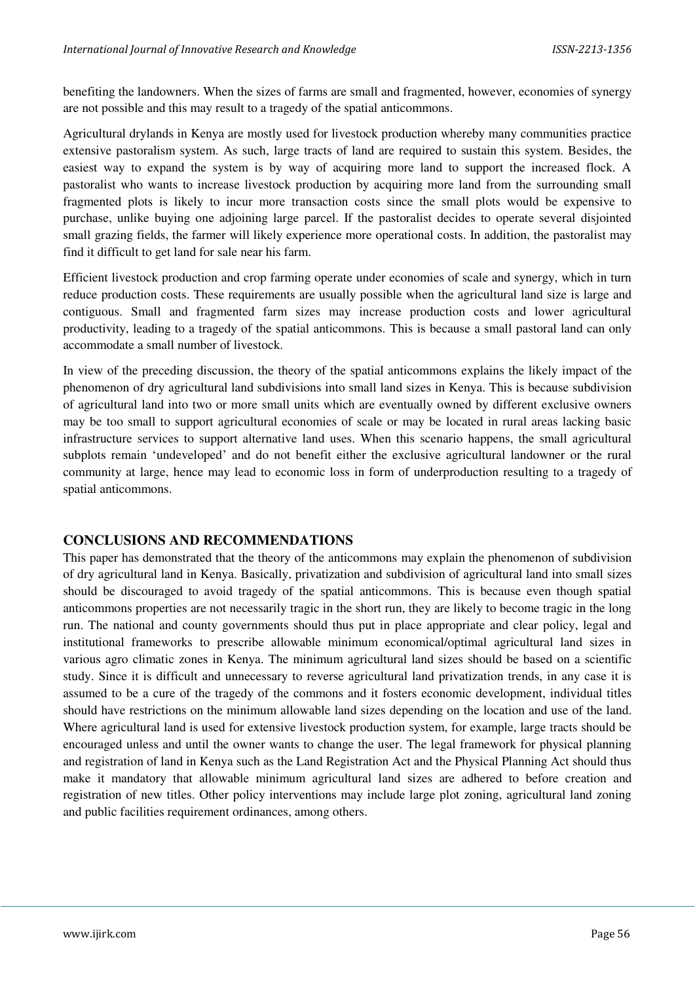benefiting the landowners. When the sizes of farms are small and fragmented, however, economies of synergy are not possible and this may result to a tragedy of the spatial anticommons.

Agricultural drylands in Kenya are mostly used for livestock production whereby many communities practice extensive pastoralism system. As such, large tracts of land are required to sustain this system. Besides, the easiest way to expand the system is by way of acquiring more land to support the increased flock. A pastoralist who wants to increase livestock production by acquiring more land from the surrounding small fragmented plots is likely to incur more transaction costs since the small plots would be expensive to purchase, unlike buying one adjoining large parcel. If the pastoralist decides to operate several disjointed small grazing fields, the farmer will likely experience more operational costs. In addition, the pastoralist may find it difficult to get land for sale near his farm.

Efficient livestock production and crop farming operate under economies of scale and synergy, which in turn reduce production costs. These requirements are usually possible when the agricultural land size is large and contiguous. Small and fragmented farm sizes may increase production costs and lower agricultural productivity, leading to a tragedy of the spatial anticommons. This is because a small pastoral land can only accommodate a small number of livestock.

In view of the preceding discussion, the theory of the spatial anticommons explains the likely impact of the phenomenon of dry agricultural land subdivisions into small land sizes in Kenya. This is because subdivision of agricultural land into two or more small units which are eventually owned by different exclusive owners may be too small to support agricultural economies of scale or may be located in rural areas lacking basic infrastructure services to support alternative land uses. When this scenario happens, the small agricultural subplots remain 'undeveloped' and do not benefit either the exclusive agricultural landowner or the rural community at large, hence may lead to economic loss in form of underproduction resulting to a tragedy of spatial anticommons.

## **CONCLUSIONS AND RECOMMENDATIONS**

This paper has demonstrated that the theory of the anticommons may explain the phenomenon of subdivision of dry agricultural land in Kenya. Basically, privatization and subdivision of agricultural land into small sizes should be discouraged to avoid tragedy of the spatial anticommons. This is because even though spatial anticommons properties are not necessarily tragic in the short run, they are likely to become tragic in the long run. The national and county governments should thus put in place appropriate and clear policy, legal and institutional frameworks to prescribe allowable minimum economical/optimal agricultural land sizes in various agro climatic zones in Kenya. The minimum agricultural land sizes should be based on a scientific study. Since it is difficult and unnecessary to reverse agricultural land privatization trends, in any case it is assumed to be a cure of the tragedy of the commons and it fosters economic development, individual titles should have restrictions on the minimum allowable land sizes depending on the location and use of the land. Where agricultural land is used for extensive livestock production system, for example, large tracts should be encouraged unless and until the owner wants to change the user. The legal framework for physical planning and registration of land in Kenya such as the Land Registration Act and the Physical Planning Act should thus make it mandatory that allowable minimum agricultural land sizes are adhered to before creation and registration of new titles. Other policy interventions may include large plot zoning, agricultural land zoning and public facilities requirement ordinances, among others.